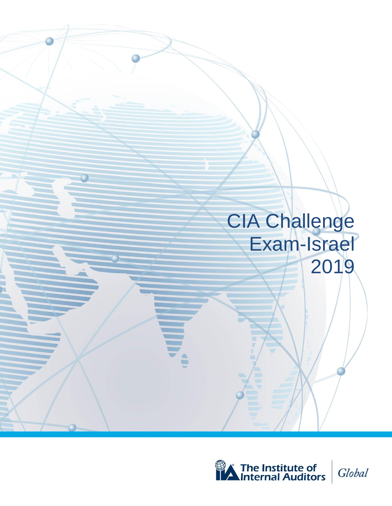

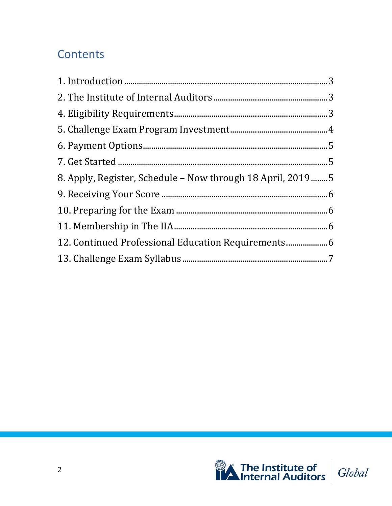# Contents

| 8. Apply, Register, Schedule - Now through 18 April, 2019  5 |  |
|--------------------------------------------------------------|--|
|                                                              |  |
|                                                              |  |
|                                                              |  |
| 12. Continued Professional Education Requirements            |  |
|                                                              |  |

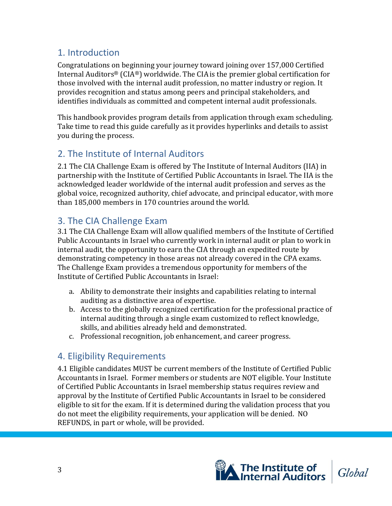## <span id="page-2-0"></span>1. Introduction

Congratulations on beginning your journey toward joining over 157,000 Certified Internal Auditors® (CIA®) worldwide. The CIAis the premier global certification for those involved with the internal audit profession, no matter industry or region. It provides recognition and status among peers and principal stakeholders, and identifies individuals as committed and competent internal audit professionals.

This handbook provides program details from application through exam scheduling. Take time to read this guide carefully as it provides hyperlinks and details to assist you during the process.

#### <span id="page-2-1"></span>2. The Institute of Internal Auditors

2.1 The CIA Challenge Exam is offered by The Institute of Internal Auditors (IIA) in partnership with the Institute of Certified Public Accountants in Israel. The IIA is the acknowledged leader worldwide of the internal audit profession and serves as the global voice, recognized authority, chief advocate, and principal educator, with more than 185,000 members in 170 countries around the world.

#### 3. The CIA Challenge Exam

3.1 The CIA Challenge Exam will allow qualified members of the Institute of Certified Public Accountants in Israel who currently work in internal audit or plan to work in internal audit, the opportunity to earn the CIA through an expedited route by demonstrating competency in those areas not already covered in the CPA exams. The Challenge Exam provides a tremendous opportunity for members of the Institute of Certified Public Accountants in Israel:

- a. Ability to demonstrate their insights and capabilities relating to internal auditing as a distinctive area of expertise.
- b. Access to the globally recognized certification for the professional practice of internal auditing through a single exam customized to reflect knowledge, skills, and abilities already held and demonstrated.
- c. Professional recognition, job enhancement, and career progress.

#### <span id="page-2-2"></span>4. Eligibility Requirements

4.1 Eligible candidates MUST be current members of the Institute of Certified Public Accountants in Israel. Former members or students are NOT eligible. Your Institute of Certified Public Accountants in Israel membership status requires review and approval by the Institute of Certified Public Accountants in Israel to be considered eligible to sit for the exam. If it is determined during the validation process that you do not meet the eligibility requirements, your application will be denied. NO REFUNDS, in part or whole, will be provided.

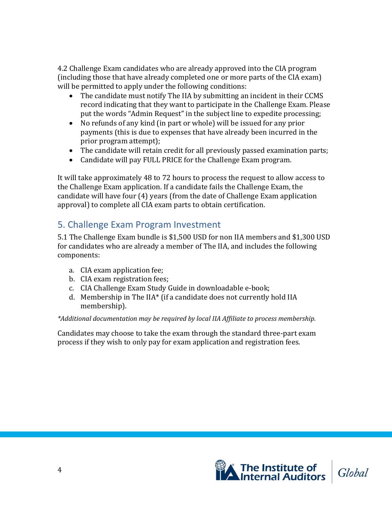4.2 Challenge Exam candidates who are already approved into the CIA program (including those that have already completed one or more parts of the CIA exam) will be permitted to apply under the following conditions:

- The candidate must notify The IIA by submitting an incident in their CCMS record indicating that they want to participate in the Challenge Exam. Please put the words "Admin Request" in the subject line to expedite processing;
- No refunds of any kind (in part or whole) will be issued for any prior payments (this is due to expenses that have already been incurred in the prior program attempt);
- The candidate will retain credit for all previously passed examination parts;
- Candidate will pay FULL PRICE for the Challenge Exam program.

It will take approximately 48 to 72 hours to process the request to allow access to the Challenge Exam application. If a candidate fails the Challenge Exam, the candidate will have four (4) years (from the date of Challenge Exam application approval) to complete all CIA exam parts to obtain certification.

## <span id="page-3-0"></span>5. Challenge Exam Program Investment

5.1 The Challenge Exam bundle is \$1,500 USD for non IIA members and \$1,300 USD for candidates who are already a member of The IIA, and includes the following components:

- a. CIA exam application fee;
- b. CIA exam registration fees;
- c. CIA Challenge Exam Study Guide in downloadable e-book;
- d. Membership in The IIA\* (if a candidate does not currently hold IIA membership).

#### *\*Additional documentation may be required by local IIA Affiliate to process membership.*

Candidates may choose to take the exam through the standard three-part exam process if they wish to only pay for exam application and registration fees.

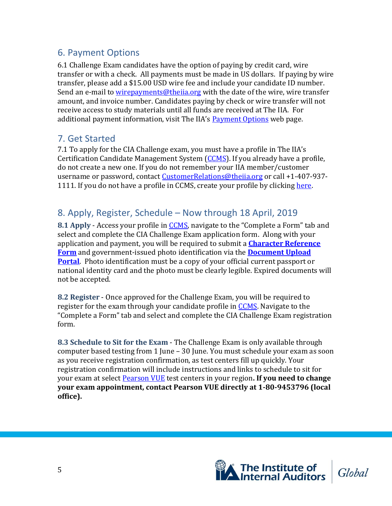### <span id="page-4-0"></span>6. Payment Options

6.1 Challenge Exam candidates have the option of paying by credit card, wire transfer or with a check. All payments must be made in US dollars. If paying by wire transfer, please add a \$15.00 USD wire fee and include your candidate ID number. Send an e-mail to [wirepayments@theiia.org](mailto:wirepayments@theiia.org) with the date of the wire, wire transfer amount, and invoice number. Candidates paying by check or wire transfer will not receive access to study materials until all funds are received at The IIA. For additional payment information, visit The IIA's [Payment Options](https://global.theiia.org/about/about-the-iia/Pages/Payment-Options.aspx) web page.

#### <span id="page-4-1"></span>7. Get Started

7.1 To apply for the CIA Challenge exam, you must have a profile in The IIA's Certification Candidate Management System [\(CCMS\)](https://i7lp.integral7.com/durango/do/login?ownername=iia&channel=iia&basechannel=integral7). If you already have a profile, do not create a new one. If you do not remember your IIA member/customer username or password, contact [CustomerRelations@theiia.org](mailto:CustomerRelations@theiia.org) or call +1-407-937 1111. If you do not have a profile in CCMS, create your profile by clicking [here.](https://i7lp.integral7.com/durango/do/login?ownername=iia&channel=iia&basechannel=integral7)

## <span id="page-4-2"></span>8. Apply, Register, Schedule – Now through 18 April, 2019

**8.1 Apply** - Access your profile in [CCMS,](https://i7lp.integral7.com/durango/do/login?ownername=iia&channel=iia&basechannel=integral7) navigate to the "Complete a Form" tab and select and complete the CIA Challenge Exam application form. Along with your application and payment, you will be required to submit a **[Character Reference](https://global.theiia.org/certification/Public%20Documents/Character_Reference_Form.pdf)  [Form](https://global.theiia.org/certification/Public%20Documents/Character_Reference_Form.pdf)** and government-issued photo identification via the **[Document Upload](https://global.theiia.org/certification/new/Pages/Certification-Document-Upload.aspx)  [Portal](https://global.theiia.org/certification/new/Pages/Certification-Document-Upload.aspx)**. Photo identification must be a copy of your official current passport or national identity card and the photo must be clearly legible. Expired documents will not be accepted.

**8.2 Register** - Once approved for the Challenge Exam, you will be required to register for the exam through your candidate profile in [CCMS.](https://i7lp.integral7.com/durango/do/login?ownername=iia&channel=iia&basechannel=integral7) Navigate to the "Complete a Form" tab and select and complete the CIA Challenge Exam registration form.

**8.3 Schedule to Sit for the Exam** - The Challenge Exam is only available through computer based testing from 1 June – 30 June. You must schedule your exam as soon as you receive registration confirmation, as test centers fill up quickly. Your registration confirmation will include instructions and links to schedule to sit for your exam at select [Pearson VUE](https://home.pearsonvue.com/iia) test centers in your region**. If you need to change your exam appointment, contact Pearson VUE directly at 1-80-9453796 (local office).**

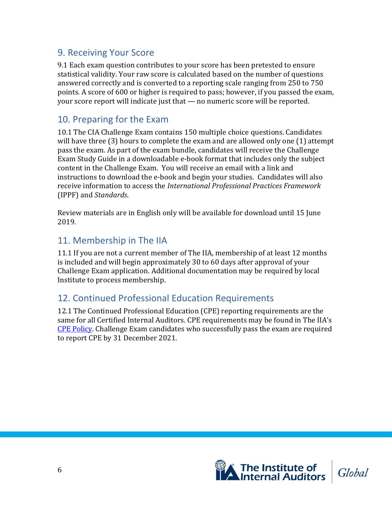#### <span id="page-5-0"></span>9. Receiving Your Score

9.1 Each exam question contributes to your score has been pretested to ensure statistical validity. Your raw score is calculated based on the number of questions answered correctly and is converted to a reporting scale ranging from 250 to 750 points. A score of 600 or higher is required to pass; however, if you passed the exam, your score report will indicate just that — no numeric score will be reported.

#### <span id="page-5-1"></span>10. Preparing for the Exam

10.1 The CIA Challenge Exam contains 150 multiple choice questions. Candidates will have three (3) hours to complete the exam and are allowed only one (1) attempt pass the exam. As part of the exam bundle, candidates will receive the Challenge Exam Study Guide in a downloadable e-book format that includes only the subject content in the Challenge Exam. You will receive an email with a link and instructions to download the e-book and begin your studies. Candidates will also receive information to access the *International Professional Practices Framework*  (IPPF) and *Standards*.

Review materials are in English only will be available for download until 15 June 2019.

#### <span id="page-5-2"></span>11. Membership in The IIA

11.1 If you are not a current member of The IIA, membership of at least 12 months is included and will begin approximately 30 to 60 days after approval of your Challenge Exam application. Additional documentation may be required by local Institute to process membership.

#### <span id="page-5-3"></span>12. Continued Professional Education Requirements

12.1 The Continued Professional Education (CPE) reporting requirements are the same for all Certified Internal Auditors. CPE requirements may be found in The IIA's [CPE Policy.](https://global.theiia.org/certification/Public%20Documents/CPE-Policy.pdf) Challenge Exam candidates who successfully pass the exam are required to report CPE by 31 December 2021.

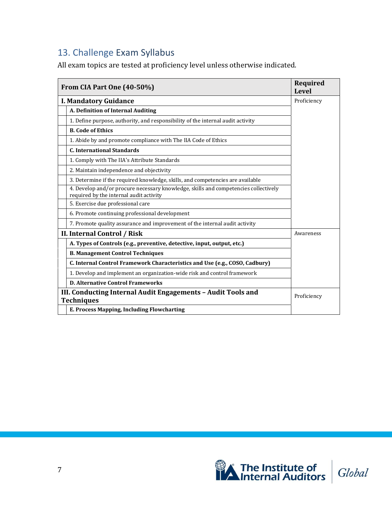## <span id="page-6-0"></span>13. Challenge Exam Syllabus

All exam topics are tested at proficiency level unless otherwise indicated.

|                                                                                   | From CIA Part One (40-50%)                                                                                                     | Required<br><b>Level</b> |
|-----------------------------------------------------------------------------------|--------------------------------------------------------------------------------------------------------------------------------|--------------------------|
|                                                                                   | <b>I. Mandatory Guidance</b>                                                                                                   | Proficiency              |
|                                                                                   | A. Definition of Internal Auditing                                                                                             |                          |
|                                                                                   | 1. Define purpose, authority, and responsibility of the internal audit activity                                                |                          |
|                                                                                   | <b>B. Code of Ethics</b>                                                                                                       |                          |
|                                                                                   | 1. Abide by and promote compliance with The IIA Code of Ethics                                                                 |                          |
|                                                                                   | <b>C. International Standards</b>                                                                                              |                          |
|                                                                                   | 1. Comply with The IIA's Attribute Standards                                                                                   |                          |
|                                                                                   | 2. Maintain independence and objectivity                                                                                       |                          |
|                                                                                   | 3. Determine if the required knowledge, skills, and competencies are available                                                 |                          |
|                                                                                   | 4. Develop and/or procure necessary knowledge, skills and competencies collectively<br>required by the internal audit activity |                          |
|                                                                                   | 5. Exercise due professional care                                                                                              |                          |
|                                                                                   | 6. Promote continuing professional development                                                                                 |                          |
|                                                                                   | 7. Promote quality assurance and improvement of the internal audit activity                                                    |                          |
|                                                                                   | II. Internal Control / Risk                                                                                                    | Awareness                |
|                                                                                   | A. Types of Controls (e.g., preventive, detective, input, output, etc.)                                                        |                          |
|                                                                                   | <b>B. Management Control Techniques</b>                                                                                        |                          |
|                                                                                   | C. Internal Control Framework Characteristics and Use (e.g., COSO, Cadbury)                                                    |                          |
|                                                                                   | 1. Develop and implement an organization-wide risk and control framework                                                       |                          |
|                                                                                   | <b>D. Alternative Control Frameworks</b>                                                                                       |                          |
| III. Conducting Internal Audit Engagements - Audit Tools and<br><b>Techniques</b> |                                                                                                                                | Proficiency              |
|                                                                                   | E. Process Mapping, Including Flowcharting                                                                                     |                          |

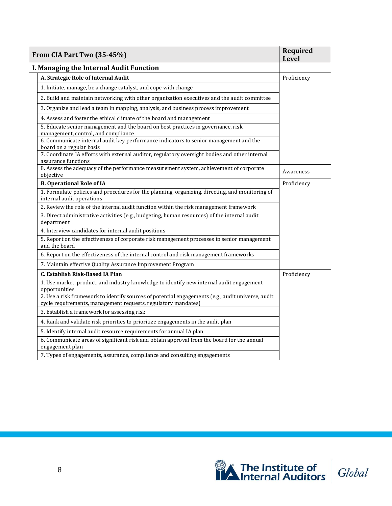| From CIA Part Two (35-45%)                                                                                                                                         | <b>Required</b><br><b>Level</b> |
|--------------------------------------------------------------------------------------------------------------------------------------------------------------------|---------------------------------|
| I. Managing the Internal Audit Function                                                                                                                            |                                 |
| A. Strategic Role of Internal Audit                                                                                                                                | Proficiency                     |
| 1. Initiate, manage, be a change catalyst, and cope with change                                                                                                    |                                 |
| 2. Build and maintain networking with other organization executives and the audit committee                                                                        |                                 |
| 3. Organize and lead a team in mapping, analysis, and business process improvement                                                                                 |                                 |
| 4. Assess and foster the ethical climate of the board and management                                                                                               |                                 |
| 5. Educate senior management and the board on best practices in governance, risk<br>management, control, and compliance                                            |                                 |
| 6. Communicate internal audit key performance indicators to senior management and the<br>board on a regular basis                                                  |                                 |
| 7. Coordinate IA efforts with external auditor, regulatory oversight bodies and other internal<br>assurance functions                                              |                                 |
| 8. Assess the adequacy of the performance measurement system, achievement of corporate<br>objective                                                                | Awareness                       |
| <b>B. Operational Role of IA</b>                                                                                                                                   | Proficiency                     |
| 1. Formulate policies and procedures for the planning, organizing, directing, and monitoring of<br>internal audit operations                                       |                                 |
| 2. Review the role of the internal audit function within the risk management framework                                                                             |                                 |
| 3. Direct administrative activities (e.g., budgeting, human resources) of the internal audit<br>department                                                         |                                 |
| 4. Interview candidates for internal audit positions                                                                                                               |                                 |
| 5. Report on the effectiveness of corporate risk management processes to senior management<br>and the board                                                        |                                 |
| 6. Report on the effectiveness of the internal control and risk management frameworks                                                                              |                                 |
| 7. Maintain effective Quality Assurance Improvement Program                                                                                                        |                                 |
| C. Establish Risk-Based IA Plan                                                                                                                                    | Proficiency                     |
| 1. Use market, product, and industry knowledge to identify new internal audit engagement<br>opportunities                                                          |                                 |
| 2. Use a risk framework to identify sources of potential engagements (e.g., audit universe, audit<br>cycle requirements, management requests, regulatory mandates) |                                 |
| 3. Establish a framework for assessing risk                                                                                                                        |                                 |
| 4. Rank and validate risk priorities to prioritize engagements in the audit plan                                                                                   |                                 |
| 5. Identify internal audit resource requirements for annual IA plan                                                                                                |                                 |
| 6. Communicate areas of significant risk and obtain approval from the board for the annual<br>engagement plan                                                      |                                 |
| 7. Types of engagements, assurance, compliance and consulting engagements                                                                                          |                                 |